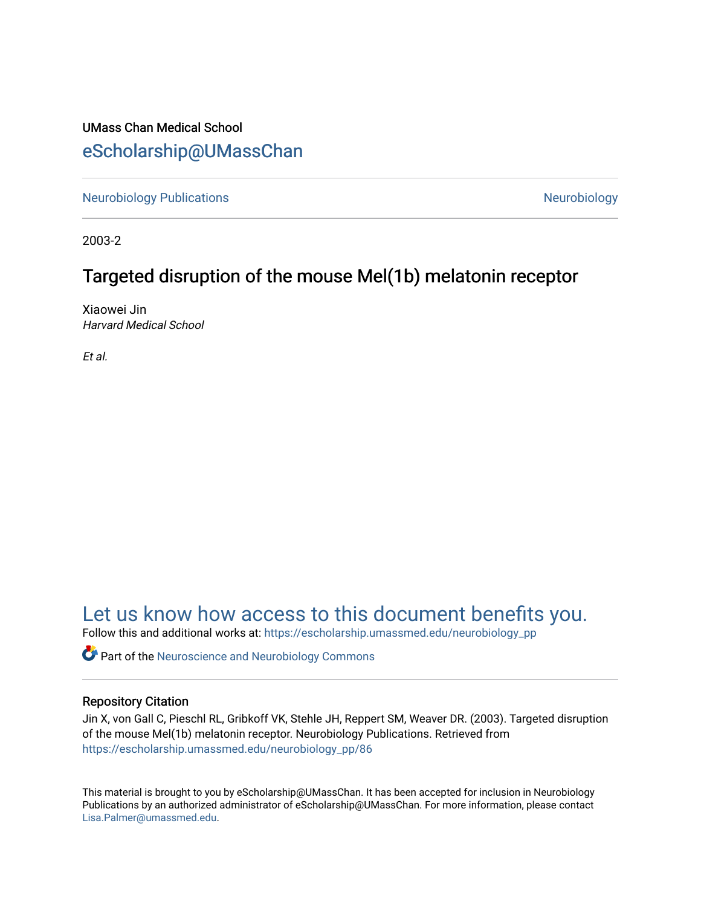## UMass Chan Medical School [eScholarship@UMassChan](https://escholarship.umassmed.edu/)

[Neurobiology Publications](https://escholarship.umassmed.edu/neurobiology_pp) **Neurobiology Neurobiology** 

2003-2

## Targeted disruption of the mouse Mel(1b) melatonin receptor

Xiaowei Jin Harvard Medical School

Et al.

## [Let us know how access to this document benefits you.](https://arcsapps.umassmed.edu/redcap/surveys/?s=XWRHNF9EJE)

Follow this and additional works at: [https://escholarship.umassmed.edu/neurobiology\\_pp](https://escholarship.umassmed.edu/neurobiology_pp?utm_source=escholarship.umassmed.edu%2Fneurobiology_pp%2F86&utm_medium=PDF&utm_campaign=PDFCoverPages) 

**P** Part of the Neuroscience and Neurobiology Commons

## Repository Citation

Jin X, von Gall C, Pieschl RL, Gribkoff VK, Stehle JH, Reppert SM, Weaver DR. (2003). Targeted disruption of the mouse Mel(1b) melatonin receptor. Neurobiology Publications. Retrieved from [https://escholarship.umassmed.edu/neurobiology\\_pp/86](https://escholarship.umassmed.edu/neurobiology_pp/86?utm_source=escholarship.umassmed.edu%2Fneurobiology_pp%2F86&utm_medium=PDF&utm_campaign=PDFCoverPages)

This material is brought to you by eScholarship@UMassChan. It has been accepted for inclusion in Neurobiology Publications by an authorized administrator of eScholarship@UMassChan. For more information, please contact [Lisa.Palmer@umassmed.edu](mailto:Lisa.Palmer@umassmed.edu).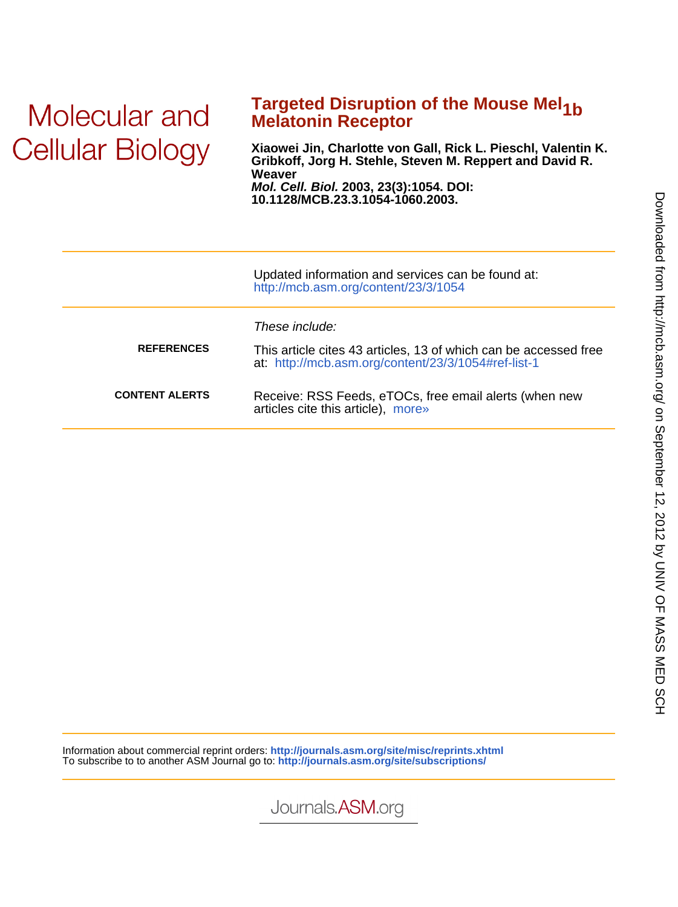## Molecular and **Cellular Biology**

# **Targeted Disruption of the Mouse Mel<sub>1b</sub> Melatonin Receptor**

**10.1128/MCB.23.3.1054-1060.2003. Mol. Cell. Biol. 2003, 23(3):1054. DOI: Weaver Gribkoff, Jorg H. Stehle, Steven M. Reppert and David R. Xiaowei Jin, Charlotte von Gall, Rick L. Pieschl, Valentin K.**

|                       | Updated information and services can be found at:<br>http://mcb.asm.org/content/23/3/1054                                                 |
|-----------------------|-------------------------------------------------------------------------------------------------------------------------------------------|
| <b>REFERENCES</b>     | These include:<br>This article cites 43 articles, 13 of which can be accessed free<br>at: http://mcb.asm.org/content/23/3/1054#ref-list-1 |
| <b>CONTENT ALERTS</b> | Receive: RSS Feeds, eTOCs, free email alerts (when new<br>articles cite this article), more»                                              |

Information about commercial reprint orders: **http://journals.asm.org/site/misc/reprints.xhtml** To subscribe to to another ASM Journal go to: **http://journals.asm.org/site/subscriptions/**

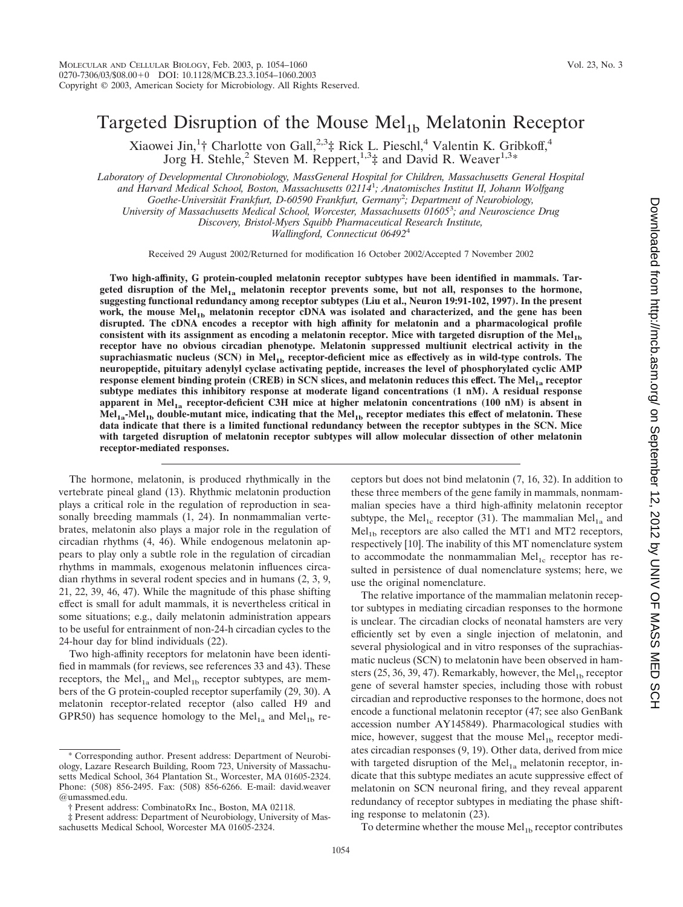## Targeted Disruption of the Mouse  $Mel<sub>1b</sub>$  Melatonin Receptor

Xiaowei Jin,<sup>1</sup>† Charlotte von Gall,<sup>2,3</sup>‡ Rick L. Pieschl,<sup>4</sup> Valentin K. Gribkoff,<sup>4</sup> Jorg H. Stehle,<sup>2</sup> Steven M. Reppert,<sup>1,3</sup>‡ and David R. Weaver<sup>1,3</sup>\*

*Laboratory of Developmental Chronobiology, MassGeneral Hospital for Children, Massachusetts General Hospital and Harvard Medical School, Boston, Massachusetts 02114*<sup>1</sup> *; Anatomisches Institut II, Johann Wolfgang Goethe-Universita¨t Frankfurt, D-60590 Frankfurt, Germany*<sup>2</sup> *; Department of Neurobiology, University of Massachusetts Medical School, Worcester, Massachusetts 01605*<sup>3</sup> *; and Neuroscience Drug*

*Discovery, Bristol-Myers Squibb Pharmaceutical Research Institute,*

*Wallingford, Connecticut 06492*<sup>4</sup>

Received 29 August 2002/Returned for modification 16 October 2002/Accepted 7 November 2002

**Two high-affinity, G protein-coupled melatonin receptor subtypes have been identified in mammals. Targeted disruption of the Mel1a melatonin receptor prevents some, but not all, responses to the hormone, suggesting functional redundancy among receptor subtypes (Liu et al., Neuron 19:91-102, 1997). In the present** work, the mouse Mel<sub>1b</sub> melatonin receptor cDNA was isolated and characterized, and the gene has been **disrupted. The cDNA encodes a receptor with high affinity for melatonin and a pharmacological profile** consistent with its assignment as encoding a melatonin receptor. Mice with targeted disruption of the Mel<sub>1b</sub> **receptor have no obvious circadian phenotype. Melatonin suppressed multiunit electrical activity in the suprachiasmatic nucleus (SCN) in Mel1b receptor-deficient mice as effectively as in wild-type controls. The neuropeptide, pituitary adenylyl cyclase activating peptide, increases the level of phosphorylated cyclic AMP response element binding protein (CREB) in SCN slices, and melatonin reduces this effect. The Mel<sub>1a</sub> receptor subtype mediates this inhibitory response at moderate ligand concentrations (1 nM). A residual response apparent in Mel1a receptor-deficient C3H mice at higher melatonin concentrations (100 nM) is absent in Mel1a-Mel1b double-mutant mice, indicating that the Mel1b receptor mediates this effect of melatonin. These data indicate that there is a limited functional redundancy between the receptor subtypes in the SCN. Mice with targeted disruption of melatonin receptor subtypes will allow molecular dissection of other melatonin receptor-mediated responses.**

The hormone, melatonin, is produced rhythmically in the vertebrate pineal gland (13). Rhythmic melatonin production plays a critical role in the regulation of reproduction in seasonally breeding mammals  $(1, 24)$ . In nonmammalian vertebrates, melatonin also plays a major role in the regulation of circadian rhythms (4, 46). While endogenous melatonin appears to play only a subtle role in the regulation of circadian rhythms in mammals, exogenous melatonin influences circadian rhythms in several rodent species and in humans (2, 3, 9, 21, 22, 39, 46, 47). While the magnitude of this phase shifting effect is small for adult mammals, it is nevertheless critical in some situations; e.g., daily melatonin administration appears to be useful for entrainment of non-24-h circadian cycles to the 24-hour day for blind individuals (22).

Two high-affinity receptors for melatonin have been identified in mammals (for reviews, see references 33 and 43). These receptors, the  $Mel<sub>1a</sub>$  and  $Mel<sub>1b</sub>$  receptor subtypes, are members of the G protein-coupled receptor superfamily (29, 30). A melatonin receptor-related receptor (also called H9 and GPR50) has sequence homology to the Mel<sub>1a</sub> and Mel<sub>1b</sub> receptors but does not bind melatonin (7, 16, 32). In addition to these three members of the gene family in mammals, nonmammalian species have a third high-affinity melatonin receptor subtype, the Mel<sub>1c</sub> receptor (31). The mammalian Mel<sub>1a</sub> and  $Mel<sub>1b</sub> receptors are also called the MT1 and MT2 receptors,$ respectively [10]. The inability of this MT nomenclature system to accommodate the nonmammalian  $Mel<sub>1c</sub>$  receptor has resulted in persistence of dual nomenclature systems; here, we use the original nomenclature.

The relative importance of the mammalian melatonin receptor subtypes in mediating circadian responses to the hormone is unclear. The circadian clocks of neonatal hamsters are very efficiently set by even a single injection of melatonin, and several physiological and in vitro responses of the suprachiasmatic nucleus (SCN) to melatonin have been observed in hamsters (25, 36, 39, 47). Remarkably, however, the Mel<sub>1b</sub> receptor gene of several hamster species, including those with robust circadian and reproductive responses to the hormone, does not encode a functional melatonin receptor (47; see also GenBank accession number AY145849). Pharmacological studies with mice, however, suggest that the mouse  $\text{Mel}_{1b}$  receptor mediates circadian responses (9, 19). Other data, derived from mice with targeted disruption of the  $Mel<sub>1a</sub>$  melatonin receptor, indicate that this subtype mediates an acute suppressive effect of melatonin on SCN neuronal firing, and they reveal apparent redundancy of receptor subtypes in mediating the phase shifting response to melatonin (23).

To determine whether the mouse  $\text{Mel}_{1b}$  receptor contributes

<sup>\*</sup> Corresponding author. Present address: Department of Neurobiology, Lazare Research Building, Room 723, University of Massachusetts Medical School, 364 Plantation St., Worcester, MA 01605-2324. Phone: (508) 856-2495. Fax: (508) 856-6266. E-mail: david.weaver @umassmed.edu.

<sup>†</sup> Present address: CombinatoRx Inc., Boston, MA 02118.

<sup>‡</sup> Present address: Department of Neurobiology, University of Massachusetts Medical School, Worcester MA 01605-2324.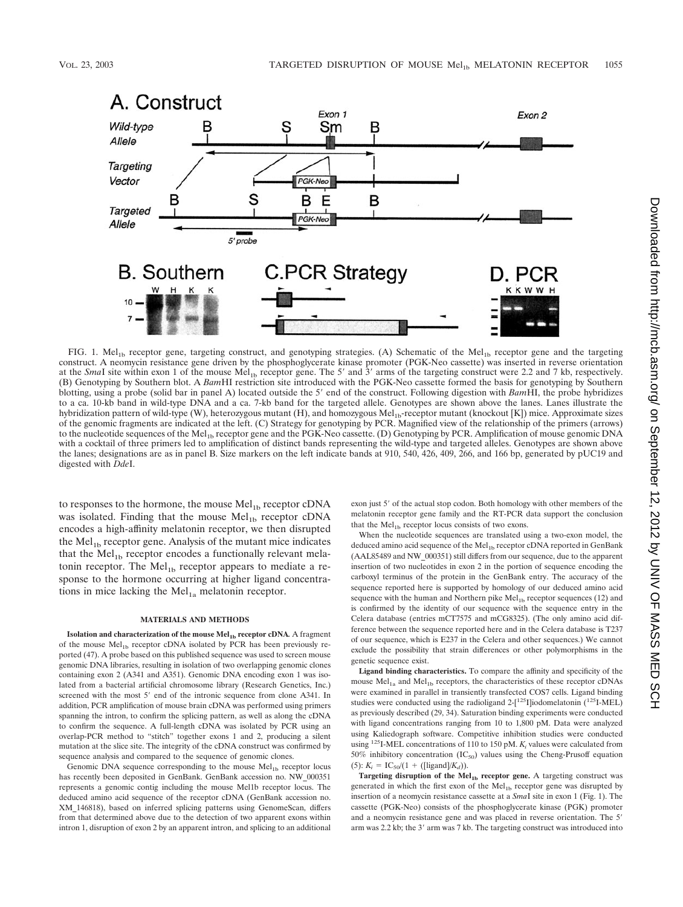

FIG. 1. Mel<sub>1b</sub> receptor gene, targeting construct, and genotyping strategies. (A) Schematic of the Mel<sub>1b</sub> receptor gene and the targeting construct. A neomycin resistance gene driven by the phosphoglycerate kinase promoter (PGK-Neo cassette) was inserted in reverse orientation at the *SmaI* site within exon 1 of the mouse  $\text{Mel}_{1b}$  receptor gene. The 5' and 3' arms of the targeting construct were 2.2 and 7 kb, respectively. (B) Genotyping by Southern blot. A *Bam*HI restriction site introduced with the PGK-Neo cassette formed the basis for genotyping by Southern blotting, using a probe (solid bar in panel A) located outside the 5' end of the construct. Following digestion with *BamHI*, the probe hybridizes to a ca. 10-kb band in wild-type DNA and a ca. 7-kb band for the targeted allele. Genotypes are shown above the lanes. Lanes illustrate the hybridization pattern of wild-type (W), heterozygous mutant (H), and homozygous Mel<sub>1b</sub>-receptor mutant (knockout [K]) mice. Approximate sizes of the genomic fragments are indicated at the left. (C) Strategy for genotyping by PCR. Magnified view of the relationship of the primers (arrows) to the nucleotide sequences of the Mel<sub>1b</sub> receptor gene and the PGK-Neo cassette. (D) Genotyping by PCR. Amplification of mouse genomic DNA with a cocktail of three primers led to amplification of distinct bands representing the wild-type and targeted alleles. Genotypes are shown above the lanes; designations are as in panel B. Size markers on the left indicate bands at 910, 540, 426, 409, 266, and 166 bp, generated by pUC19 and digested with *Dde*I.

to responses to the hormone, the mouse  $Mel<sub>1b</sub> receptor cDNA$ was isolated. Finding that the mouse  $Mel<sub>1b</sub>$  receptor cDNA encodes a high-affinity melatonin receptor, we then disrupted the Mel<sub>1b</sub> receptor gene. Analysis of the mutant mice indicates that the  $Mel<sub>1b</sub> receptor encodes a functionally relevant melan$ tonin receptor. The  $Mel<sub>1b</sub>$  receptor appears to mediate a response to the hormone occurring at higher ligand concentrations in mice lacking the  $Mel<sub>1a</sub>$  melatonin receptor.

#### **MATERIALS AND METHODS**

**Isolation and characterization of the mouse Mel<sub>1b</sub> receptor cDNA**. A fragment of the mouse Mel<sub>1b</sub> receptor cDNA isolated by PCR has been previously reported (47). A probe based on this published sequence was used to screen mouse genomic DNA libraries, resulting in isolation of two overlapping genomic clones containing exon 2 (A341 and A351). Genomic DNA encoding exon 1 was isolated from a bacterial artificial chromosome library (Research Genetics, Inc.) screened with the most 5' end of the intronic sequence from clone A341. In addition, PCR amplification of mouse brain cDNA was performed using primers spanning the intron, to confirm the splicing pattern, as well as along the cDNA to confirm the sequence. A full-length cDNA was isolated by PCR using an overlap-PCR method to "stitch" together exons 1 and 2, producing a silent mutation at the slice site. The integrity of the cDNA construct was confirmed by sequence analysis and compared to the sequence of genomic clones.

Genomic DNA sequence corresponding to the mouse  $Mel<sub>1b</sub>$  receptor locus has recently been deposited in GenBank. GenBank accession no. NW\_000351 represents a genomic contig including the mouse Mel1b receptor locus. The deduced amino acid sequence of the receptor cDNA (GenBank accession no. XM\_146818), based on inferred splicing patterns using GenomeScan, differs from that determined above due to the detection of two apparent exons within intron 1, disruption of exon 2 by an apparent intron, and splicing to an additional

exon just 5' of the actual stop codon. Both homology with other members of the melatonin receptor gene family and the RT-PCR data support the conclusion that the  $Mel<sub>1b</sub> receptor locus consists of two exons.$ 

When the nucleotide sequences are translated using a two-exon model, the deduced amino acid sequence of the  $Mel<sub>1b</sub>$  receptor cDNA reported in GenBank (AAL85489 and NW\_000351) still differs from our sequence, due to the apparent insertion of two nucleotides in exon 2 in the portion of sequence encoding the carboxyl terminus of the protein in the GenBank entry. The accuracy of the sequence reported here is supported by homology of our deduced amino acid sequence with the human and Northern pike  $Mel<sub>1b</sub>$  receptor sequences (12) and is confirmed by the identity of our sequence with the sequence entry in the Celera database (entries mCT7575 and mCG8325). (The only amino acid difference between the sequence reported here and in the Celera database is T237 of our sequence, which is E237 in the Celera and other sequences.) We cannot exclude the possibility that strain differences or other polymorphisms in the genetic sequence exist.

**Ligand binding characteristics.** To compare the affinity and specificity of the mouse  $Mel<sub>1a</sub>$  and  $Mel<sub>1b</sub>$  receptors, the characteristics of these receptor cDNAs were examined in parallel in transiently transfected COS7 cells. Ligand binding studies were conducted using the radioligand  $2-[125]$ [iodomelatonin  $(125]$ -MEL) as previously described (29, 34). Saturation binding experiments were conducted with ligand concentrations ranging from 10 to 1,800 pM. Data were analyzed using Kaliedograph software. Competitive inhibition studies were conducted using <sup>125</sup>I-MEL concentrations of 110 to 150 pM.  $K_i$  values were calculated from 50% inhibitory concentration  $(IC_{50})$  values using the Cheng-Prusoff equation (5):  $K_i = IC_{50}/(1 + ([ligand]/K_d)).$ 

Targeting disruption of the Mel<sub>1b</sub> receptor gene. A targeting construct was generated in which the first exon of the  $Mel<sub>1b</sub>$  receptor gene was disrupted by insertion of a neomycin resistance cassette at a *Sma*I site in exon 1 (Fig. 1). The cassette (PGK-Neo) consists of the phosphoglycerate kinase (PGK) promoter and a neomycin resistance gene and was placed in reverse orientation. The 5' arm was 2.2 kb; the 3' arm was 7 kb. The targeting construct was introduced into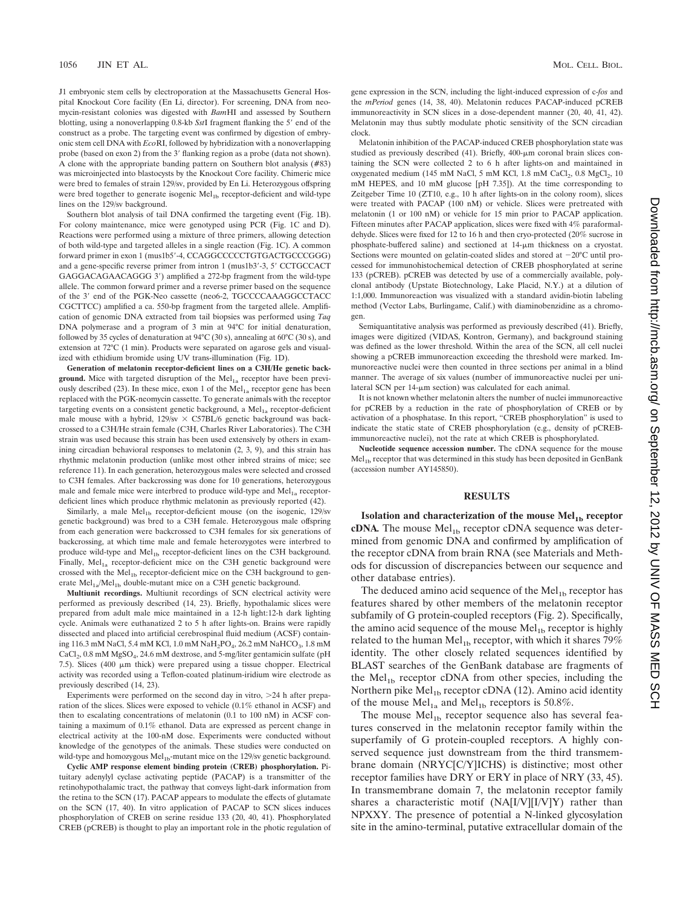J1 embryonic stem cells by electroporation at the Massachusetts General Hospital Knockout Core facility (En Li, director). For screening, DNA from neomycin-resistant colonies was digested with *Bam*HI and assessed by Southern blotting, using a nonoverlapping 0.8-kb *SstI* fragment flanking the 5' end of the construct as a probe. The targeting event was confirmed by digestion of embryonic stem cell DNA with *Eco*RI, followed by hybridization with a nonoverlapping probe (based on exon 2) from the 3' flanking region as a probe (data not shown). A clone with the appropriate banding pattern on Southern blot analysis (#83) was microinjected into blastocysts by the Knockout Core facility. Chimeric mice were bred to females of strain 129/sv, provided by En Li. Heterozygous offspring were bred together to generate isogenic Mel<sub>1b</sub> receptor-deficient and wild-type lines on the 129/sv background.

Southern blot analysis of tail DNA confirmed the targeting event (Fig. 1B). For colony maintenance, mice were genotyped using PCR (Fig. 1C and D). Reactions were performed using a mixture of three primers, allowing detection of both wild-type and targeted alleles in a single reaction (Fig. 1C). A common forward primer in exon 1 (mus1b5--4, CCAGGCCCCCTGTGACTGCCCGGG) and a gene-specific reverse primer from intron 1 (mus1b3'-3, 5' CCTGCCACT GAGGACAGAACAGGG 3') amplified a 272-bp fragment from the wild-type allele. The common forward primer and a reverse primer based on the sequence of the 3' end of the PGK-Neo cassette (neo6-2, TGCCCCAAAGGCCTACC CGCTTCC) amplified a ca. 550-bp fragment from the targeted allele. Amplification of genomic DNA extracted from tail biopsies was performed using *Taq* DNA polymerase and a program of 3 min at 94°C for initial denaturation, followed by 35 cycles of denaturation at 94°C (30 s), annealing at 60°C (30 s), and extension at 72°C (1 min). Products were separated on agarose gels and visualized with ethidium bromide using UV trans-illumination (Fig. 1D).

**Generation of melatonin receptor-deficient lines on a C3H/He genetic back**ground. Mice with targeted disruption of the Mel<sub>1a</sub> receptor have been previously described (23). In these mice, exon 1 of the  $Mel<sub>1a</sub>$  receptor gene has been replaced with the PGK-neomycin cassette. To generate animals with the receptor targeting events on a consistent genetic background, a  $Mel<sub>1a</sub> receptor-deficient$ male mouse with a hybrid,  $129/sv \times C57BL/6$  genetic background was backcrossed to a C3H/He strain female (C3H, Charles River Laboratories). The C3H strain was used because this strain has been used extensively by others in examining circadian behavioral responses to melatonin (2, 3, 9), and this strain has rhythmic melatonin production (unlike most other inbred strains of mice; see reference 11). In each generation, heterozygous males were selected and crossed to C3H females. After backcrossing was done for 10 generations, heterozygous male and female mice were interbred to produce wild-type and  $Mel<sub>1a</sub> receptor$ deficient lines which produce rhythmic melatonin as previously reported (42).

Similarly, a male  $Mel<sub>1b</sub> receptor-deficient mouse$  (on the isogenic,  $129$ /sv genetic background) was bred to a C3H female. Heterozygous male offspring from each generation were backcrossed to C3H females for six generations of backcrossing, at which time male and female heterozygotes were interbred to produce wild-type and Mel<sub>1b</sub> receptor-deficient lines on the C3H background. Finally,  $Mel<sub>1a</sub> receptor-deficient mice on the C3H genetic background were$ crossed with the Mel $_{1b}$  receptor-deficient mice on the C3H background to generate  $Mel<sub>1a</sub>/Mel<sub>1b</sub> double-mutant mice on a C3H genetic background.$ 

**Multiunit recordings.** Multiunit recordings of SCN electrical activity were performed as previously described (14, 23). Briefly, hypothalamic slices were prepared from adult male mice maintained in a 12-h light:12-h dark lighting cycle. Animals were euthanatized 2 to 5 h after lights-on. Brains were rapidly dissected and placed into artificial cerebrospinal fluid medium (ACSF) containing 116.3 mM NaCl, 5.4 mM KCl, 1.0 mM NaH<sub>2</sub>PO<sub>4</sub>, 26.2 mM NaHCO<sub>3</sub>, 1.8 mM CaCl<sub>2</sub>, 0.8 mM MgSO<sub>4</sub>, 24.6 mM dextrose, and 5-mg/liter gentamicin sulfate (pH 7.5). Slices (400  $\mu$ m thick) were prepared using a tissue chopper. Electrical activity was recorded using a Teflon-coated platinum-iridium wire electrode as previously described (14, 23).

Experiments were performed on the second day in vitro, >24 h after preparation of the slices. Slices were exposed to vehicle (0.1% ethanol in ACSF) and then to escalating concentrations of melatonin (0.1 to 100 nM) in ACSF containing a maximum of 0.1% ethanol. Data are expressed as percent change in electrical activity at the 100-nM dose. Experiments were conducted without knowledge of the genotypes of the animals. These studies were conducted on wild-type and homozygous  $Mel<sub>1b</sub>$ -mutant mice on the 129/sv genetic background.

**Cyclic AMP response element binding protein (CREB) phosphorylation.** Pituitary adenylyl cyclase activating peptide (PACAP) is a transmitter of the retinohypothalamic tract, the pathway that conveys light-dark information from the retina to the SCN (17). PACAP appears to modulate the effects of glutamate on the SCN (17, 40). In vitro application of PACAP to SCN slices induces phosphorylation of CREB on serine residue 133 (20, 40, 41). Phosphorylated CREB (pCREB) is thought to play an important role in the photic regulation of gene expression in the SCN, including the light-induced expression of c-*fos* and the *mPeriod* genes (14, 38, 40). Melatonin reduces PACAP-induced pCREB immunoreactivity in SCN slices in a dose-dependent manner (20, 40, 41, 42). Melatonin may thus subtly modulate photic sensitivity of the SCN circadian clock.

Melatonin inhibition of the PACAP-induced CREB phosphorylation state was studied as previously described (41). Briefly, 400-um coronal brain slices containing the SCN were collected 2 to 6 h after lights-on and maintained in oxygenated medium (145 mM NaCl, 5 mM KCl, 1.8 mM CaCl<sub>2</sub>, 0.8 MgCl<sub>2</sub>, 10 mM HEPES, and 10 mM glucose [pH 7.35]). At the time corresponding to Zeitgeber Time 10 (ZT10, e.g., 10 h after lights-on in the colony room), slices were treated with PACAP (100 nM) or vehicle. Slices were pretreated with melatonin (1 or 100 nM) or vehicle for 15 min prior to PACAP application. Fifteen minutes after PACAP application, slices were fixed with 4% paraformaldehyde. Slices were fixed for 12 to 16 h and then cryo-protected (20% sucrose in phosphate-buffered saline) and sectioned at 14-µm thickness on a cryostat. Sections were mounted on gelatin-coated slides and stored at  $-20^{\circ}$ C until processed for immunohistochemical detection of CREB phosphorylated at serine 133 (pCREB). pCREB was detected by use of a commercially available, polyclonal antibody (Upstate Biotechnology, Lake Placid, N.Y.) at a dilution of 1:1,000. Immunoreaction was visualized with a standard avidin-biotin labeling method (Vector Labs, Burlingame, Calif.) with diaminobenzidine as a chromogen.

Semiquantitative analysis was performed as previously described (41). Briefly, images were digitized (VIDAS, Kontron, Germany), and background staining was defined as the lower threshold. Within the area of the SCN, all cell nuclei showing a pCREB immunoreaction exceeding the threshold were marked. Immunoreactive nuclei were then counted in three sections per animal in a blind manner. The average of six values (number of immunoreactive nuclei per unilateral SCN per  $14$ - $\mu$ m section) was calculated for each animal.

It is not known whether melatonin alters the number of nuclei immunoreactive for pCREB by a reduction in the rate of phosphorylation of CREB or by activation of a phosphatase. In this report, "CREB phosphorylation" is used to indicate the static state of CREB phosphorylation (e.g., density of pCREBimmunoreactive nuclei), not the rate at which CREB is phosphorylated.

**Nucleotide sequence accession number.** The cDNA sequence for the mouse Mel<sub>1b</sub> receptor that was determined in this study has been deposited in GenBank (accession number AY145850).

#### **RESULTS**

**Isolation and characterization of the mouse Mel<sub>1b</sub> receptor cDNA**. The mouse  $Mel<sub>1b</sub> receptor cDNA sequence was deter$ mined from genomic DNA and confirmed by amplification of the receptor cDNA from brain RNA (see Materials and Methods for discussion of discrepancies between our sequence and other database entries).

The deduced amino acid sequence of the  $Mel<sub>1b</sub>$  receptor has features shared by other members of the melatonin receptor subfamily of G protein-coupled receptors (Fig. 2). Specifically, the amino acid sequence of the mouse  $Mel<sub>1b</sub>$  receptor is highly related to the human  $Mel<sub>1b</sub> receptor, with which it shares 79%$ identity. The other closely related sequences identified by BLAST searches of the GenBank database are fragments of the Mel $_{1b}$  receptor cDNA from other species, including the Northern pike  $Mel<sub>1b</sub> receptor cDNA (12)$ . Amino acid identity of the mouse  $Mel<sub>1a</sub>$  and  $Mel<sub>1b</sub>$  receptors is 50.8%.

The mouse  $Mel<sub>1b</sub> receptor sequence also has several fea$ tures conserved in the melatonin receptor family within the superfamily of G protein-coupled receptors. A highly conserved sequence just downstream from the third transmembrane domain (NRYC[C/Y]ICHS) is distinctive; most other receptor families have DRY or ERY in place of NRY (33, 45). In transmembrane domain 7, the melatonin receptor family shares a characteristic motif (NA[I/V][I/V]Y) rather than NPXXY. The presence of potential a N-linked glycosylation site in the amino-terminal, putative extracellular domain of the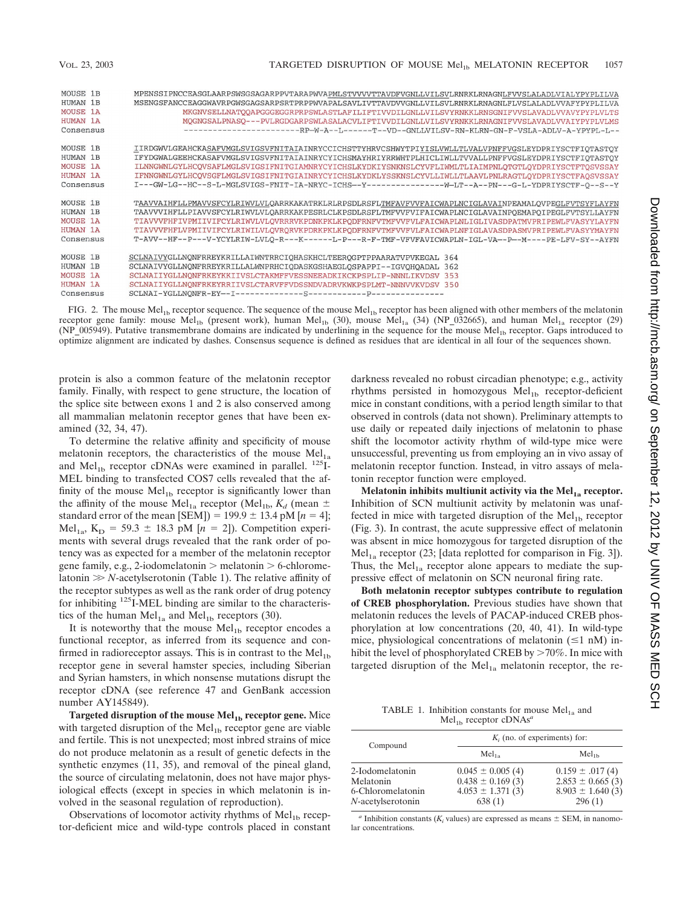| MOUSE 1B        | MPENSSIPNCCEASGLAARPSWSGSAGARPPVTARAPWVAPMLSTVVVVTTAVDFVGNLLVILSVLRNRKLRNAGNLFVVSLALADLVIALYPYPLILVA   |
|-----------------|--------------------------------------------------------------------------------------------------------|
| HUMAN 1B        | MSENGSFANCCEAGGWAVRPGWSGAGSARPSRTPRPPWVAPALSAVLIVTTAVDVVGNLLVILSVLRNRKLRNAGNLFLVSLALADLVVAFYPYPLILVA   |
| <b>MOUSE 1A</b> | MKGNVSELLNATOOAPGGGEGGRPRPSWLASTLAFILIFTIVVDILGNLLVILSVYRNKKLRNSGNIFVVSLAVADLVVAVYPYPLVLTS             |
| <b>HUMAN 1A</b> | MOGNGSALPNASO---PVLRGDGARPSWLASALACVLIFTIVVDILGNLLVILSVYRNKKLRNAGNIFVVSLAVADLVVAIYPYPLVLMS             |
| Consensus       | ---------------------RP-W-A--L-------T--VD--GNLLVILSV-RN-KLRN-GN-F-VSLA-ADLV-A-YPYPL-L--               |
| MOUSE 1B        | IIRDGWVLGEAHCKASAFVMGLSVIGSVFNITAIAINRYCCICHSTTYHRVCSHWYTPIYISLVWLLTLVALVPNFFVGSLEYDPRIYSCTFIOTASTOY   |
| HUMAN 1B        | IFYDGWALGEEHCKASAFVMGLSVIGSVFNITAIAINRYCYICHSMAYHRIYRRWHTPLHICLIWLLTVVALLPNFFVGSLEYDPRIYSCTFIQTASTQY   |
| <b>MOUSE 1A</b> | ILNNGWNLGYLHCQVSAFLMGLSVIGSIFNITGIAMNRYCYICHSLKYDKIYSNKNSLCYVFLIWMLTLIAIMPNLQTGTLQYDPRIYSCTFTQSVSSAY   |
| <b>HUMAN 1A</b> | IFNNGWNLGYLHCQVSGFLMGLSVIGSIFNITGIAINRYCYICHSLKYDKLYSSKNSLCYVLLIWLLTLAAVLPNLRAGTLQYDPRIYSCTFAOSVSSAY   |
| Consensus       | I---GW-LG--HC--S-L-MGLSVIGS-FNIT-IA-NRYC-ICHS--Y------------------W-LT--A--PN---G-L-YDPRIYSCTF-O--S--Y |
| MOUSE 1B        | TAAVVAIHFLLPMAVVSFCYLRIWVLVLQARRKAKATRKLRLRPSDLRSFLTMFAVFVVFAICWAPLNCIGLAVAINPEAMALQVPEGLFVTSYFLAYFN   |
| HUMAN 1B        | TAAVVVIHFLLPIAVVSFCYLRIWVLVLQARRKAKPESRLCLKPSDLRSFLTMFVVFVIFAICWAPLNCIGLAVAINPOEMAPOIPEGLFVTSYLLAYFN   |
| MOUSE 1A        | TIAVVVFHFIVPMIIVIFCYLRIWVLVLQVRRRVKPDNKPKLKPQDFRNFVTMFVVFVLFAICWAPLNLIGLIVASDPATMVPRIPEWLFVASYYLAYFN   |
| <b>HUMAN 1A</b> | TIAVVVFHFLVPMIIVIFCYLRIWILVLQVRQRVKPDRKPKLKPQDFRNFVTMFVVFVLFAICWAPLNFIGLAVASDPASMVPRIPEWLFVASYYMAYFN   |
| Consensus       | T-AVV--HF--P---V-YCYLRIW-LVLQ-R---K------L-P---R-F-TMF-VFVFAVICWAPLN-IGL-VA--P--M----PE-LFV-SY--AYFN   |
| MOUSE 1B        | SCLNAIVYGLLNQNFRREYKRILLAIWNTRRCIOHASKHCLTEEROGPTPPAARATVPVKEGAL 364                                   |
| <b>HUMAN 1B</b> | SCLNAIVYGLLNONFRREYKRILLALWNPRHCIODASKGSHAEGLOSPAPPI--IGVOHOADAL 362                                   |
| <b>MOUSE 1A</b> | SCLNAIIYGLLNONFRKEYKKIIVSLCTAKMFFVESSNEEADKIKCKPSPLIP-NNNLIKVDSV 353                                   |
| <b>HUMAN 1A</b> | SCLNAIIYGLLNONFRKEYRRIIVSLCTARVFFVDSSNDVADRVKWKPSPLMT-NNNVVKVDSV 350                                   |
| Consensus       |                                                                                                        |



protein is also a common feature of the melatonin receptor family. Finally, with respect to gene structure, the location of the splice site between exons 1 and 2 is also conserved among all mammalian melatonin receptor genes that have been examined (32, 34, 47).

To determine the relative affinity and specificity of mouse melatonin receptors, the characteristics of the mouse  $Mel<sub>1a</sub>$ and Mel<sub>1b</sub> receptor cDNAs were examined in parallel.  $^{125}$ I-MEL binding to transfected COS7 cells revealed that the affinity of the mouse  $Mel<sub>1b</sub>$  receptor is significantly lower than the affinity of the mouse Mel<sub>1a</sub> receptor (Mel<sub>1b</sub>,  $K_d$  (mean  $\pm$ standard error of the mean [SEM]) =  $199.9 \pm 13.4$  pM [ $n = 4$ ]; Mel<sub>1a</sub>, K<sub>D</sub> = 59.3  $\pm$  18.3 pM [*n* = 2]). Competition experiments with several drugs revealed that the rank order of potency was as expected for a member of the melatonin receptor gene family, e.g., 2-iodomelatonin  $>$  melatonin  $>$  6-chloromelatonin *N*-acetylserotonin (Table 1). The relative affinity of the receptor subtypes as well as the rank order of drug potency for inhibiting 125I-MEL binding are similar to the characteristics of the human Mel<sub>1a</sub> and Mel<sub>1b</sub> receptors (30).

It is noteworthy that the mouse  $Mel<sub>1b</sub>$  receptor encodes a functional receptor, as inferred from its sequence and confirmed in radioreceptor assays. This is in contrast to the  $Mel<sub>1b</sub>$ receptor gene in several hamster species, including Siberian and Syrian hamsters, in which nonsense mutations disrupt the receptor cDNA (see reference 47 and GenBank accession number AY145849).

**Targeted disruption of the mouse Mel<sub>1b</sub> receptor gene.** Mice with targeted disruption of the  $Mel<sub>1b</sub>$  receptor gene are viable and fertile. This is not unexpected; most inbred strains of mice do not produce melatonin as a result of genetic defects in the synthetic enzymes (11, 35), and removal of the pineal gland, the source of circulating melatonin, does not have major physiological effects (except in species in which melatonin is involved in the seasonal regulation of reproduction).

Observations of locomotor activity rhythms of  $Mel<sub>1b</sub>$  receptor-deficient mice and wild-type controls placed in constant darkness revealed no robust circadian phenotype; e.g., activity rhythms persisted in homozygous  $Mel<sub>1b</sub> receptor-deficient$ mice in constant conditions, with a period length similar to that observed in controls (data not shown). Preliminary attempts to use daily or repeated daily injections of melatonin to phase shift the locomotor activity rhythm of wild-type mice were unsuccessful, preventing us from employing an in vivo assay of melatonin receptor function. Instead, in vitro assays of melatonin receptor function were employed.

**Melatonin inhibits multiunit activity via the Mel<sub>1a</sub> receptor.** Inhibition of SCN multiunit activity by melatonin was unaffected in mice with targeted disruption of the  $Mel<sub>1b</sub>$  receptor (Fig. 3). In contrast, the acute suppressive effect of melatonin was absent in mice homozygous for targeted disruption of the  $Mel<sub>1a</sub> receptor (23; [data reported for comparison in Fig. 3]).$ Thus, the  $Mel<sub>1a</sub> receptor alone appears to mediate the sup$ pressive effect of melatonin on SCN neuronal firing rate.

**Both melatonin receptor subtypes contribute to regulation of CREB phosphorylation.** Previous studies have shown that melatonin reduces the levels of PACAP-induced CREB phosphorylation at low concentrations (20, 40, 41). In wild-type mice, physiological concentrations of melatonin  $(\leq 1 \text{ nM})$  inhibit the level of phosphorylated CREB by  $>70\%$ . In mice with targeted disruption of the  $Mel<sub>1a</sub>$  melatonin receptor, the re-

TABLE 1. Inhibition constants for mouse  $Mel<sub>1a</sub>$  and Mel<sub>1b</sub> receptor cDNAs<sup>a</sup>

| Compound                                                               | $K_i$ (no. of experiments) for:                                                |                                                                               |  |
|------------------------------------------------------------------------|--------------------------------------------------------------------------------|-------------------------------------------------------------------------------|--|
|                                                                        | Mel <sub>12</sub>                                                              | Mel <sub>1h</sub>                                                             |  |
| 2-Iodomelatonin<br>Melatonin<br>6-Chloromelatonin<br>N-acetylserotonin | $0.045 \pm 0.005(4)$<br>$0.438 \pm 0.169(3)$<br>$4.053 \pm 1.371(3)$<br>638(1) | $0.159 \pm .017(4)$<br>$2.853 \pm 0.665(3)$<br>$8.903 \pm 1.640(3)$<br>296(1) |  |

*a* Inhibition constants ( $K_i$  values) are expressed as means  $\pm$  SEM, in nanomolar concentrations.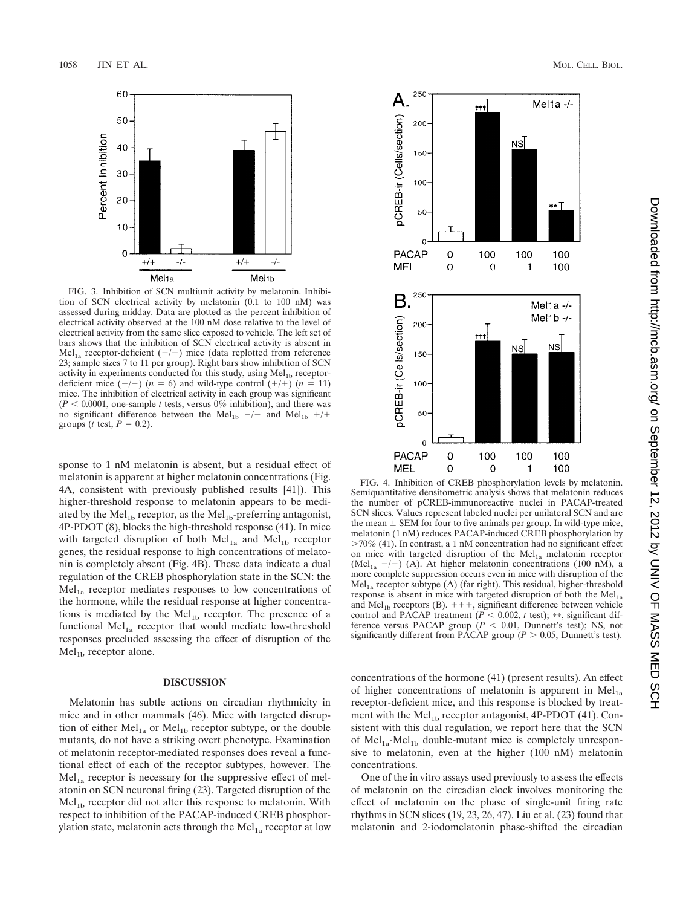

FIG. 3. Inhibition of SCN multiunit activity by melatonin. Inhibition of SCN electrical activity by melatonin (0.1 to 100 nM) was assessed during midday. Data are plotted as the percent inhibition of electrical activity observed at the 100 nM dose relative to the level of electrical activity from the same slice exposed to vehicle. The left set of bars shows that the inhibition of SCN electrical activity is absent in Mel<sub>1a</sub> receptor-deficient  $(-/-)$  mice (data replotted from reference 23; sample sizes 7 to 11 per group). Right bars show inhibition of SCN activity in experiments conducted for this study, using Mel<sub>1b</sub> receptordeficient mice  $(-/-)$   $(n = 6)$  and wild-type control  $(+/+)$   $(n = 11)$ mice. The inhibition of electrical activity in each group was significant  $(P < 0.0001$ , one-sample *t* tests, versus 0% inhibition), and there was no significant difference between the Mel<sub>1b</sub>  $-/-$  and Mel<sub>1b</sub> +/+ groups (*t* test,  $P = 0.2$ ).

sponse to 1 nM melatonin is absent, but a residual effect of melatonin is apparent at higher melatonin concentrations (Fig. 4A, consistent with previously published results [41]). This higher-threshold response to melatonin appears to be mediated by the  $Mel<sub>1b</sub>$  receptor, as the  $Mel<sub>1b</sub>$ -preferring antagonist, 4P-PDOT (8), blocks the high-threshold response (41). In mice with targeted disruption of both  $Mel<sub>1a</sub>$  and  $Mel<sub>1b</sub>$  receptor genes, the residual response to high concentrations of melatonin is completely absent (Fig. 4B). These data indicate a dual regulation of the CREB phosphorylation state in the SCN: the  $Mel<sub>1a</sub> receptor mediates responses to low concentrations of$ the hormone, while the residual response at higher concentrations is mediated by the  $Mel<sub>1b</sub>$  receptor. The presence of a functional Mel $_{1a}$  receptor that would mediate low-threshold responses precluded assessing the effect of disruption of the  $Mel<sub>1b</sub> receptor alone.$ 

### **DISCUSSION**

Melatonin has subtle actions on circadian rhythmicity in mice and in other mammals (46). Mice with targeted disruption of either  $Mel<sub>1a</sub>$  or  $Mel<sub>1b</sub>$  receptor subtype, or the double mutants, do not have a striking overt phenotype. Examination of melatonin receptor-mediated responses does reveal a functional effect of each of the receptor subtypes, however. The  $Mel<sub>1a</sub> receptor is necessary for the suppressive effect of mel$ atonin on SCN neuronal firing (23). Targeted disruption of the  $Mel<sub>1b</sub> receptor did not alter this response to melanin. With$ respect to inhibition of the PACAP-induced CREB phosphorylation state, melatonin acts through the  $Mel<sub>1a</sub>$  receptor at low



FIG. 4. Inhibition of CREB phosphorylation levels by melatonin. Semiquantitative densitometric analysis shows that melatonin reduces the number of pCREB-immunoreactive nuclei in PACAP-treated SCN slices. Values represent labeled nuclei per unilateral SCN and are the mean  $\pm$  SEM for four to five animals per group. In wild-type mice, melatonin (1 nM) reduces PACAP-induced CREB phosphorylation by  $>70\%$  (41). In contrast, a 1 nM concentration had no significant effect on mice with targeted disruption of the  $Mel<sub>1a</sub>$  melatonin receptor (Mel<sub>1a</sub>  $-/-$ ) (A). At higher melatonin concentrations (100 nM), a more complete suppression occurs even in mice with disruption of the  $Mel<sub>1a</sub> receptor subtype (A) (far right). This residual, higher-threshold$ response is absent in mice with targeted disruption of both the  $Mel<sub>1a</sub>$ and Mel<sub>1b</sub> receptors (B).  $+++$ , significant difference between vehicle control and PACAP treatment ( $P < 0.002$ ,  $t$  test); \*\*, significant difference versus PACAP group  $(P < 0.01$ , Dunnett's test); NS, not significantly different from PACAP group ( $P > 0.05$ , Dunnett's test).

concentrations of the hormone (41) (present results). An effect of higher concentrations of melatonin is apparent in  $Mel<sub>1a</sub>$ receptor-deficient mice, and this response is blocked by treatment with the  $Mel<sub>1b</sub> receptor antagonist, 4P-PDOT (41). Con$ sistent with this dual regulation, we report here that the SCN of  $Mel<sub>1a</sub>-Mel<sub>1b</sub>$  double-mutant mice is completely unresponsive to melatonin, even at the higher (100 nM) melatonin concentrations.

One of the in vitro assays used previously to assess the effects of melatonin on the circadian clock involves monitoring the effect of melatonin on the phase of single-unit firing rate rhythms in SCN slices (19, 23, 26, 47). Liu et al. (23) found that melatonin and 2-iodomelatonin phase-shifted the circadian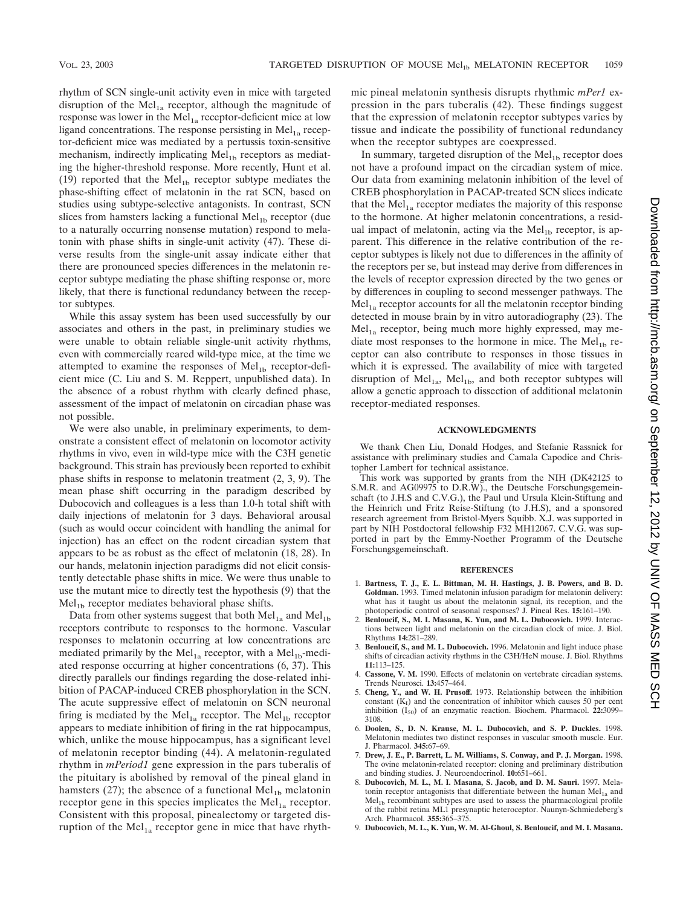rhythm of SCN single-unit activity even in mice with targeted disruption of the  $Mel<sub>1a</sub> receptor$ , although the magnitude of response was lower in the  $Mel<sub>1a</sub> receptor-deficient mice at low$ ligand concentrations. The response persisting in  $Mel<sub>1a</sub>$  receptor-deficient mice was mediated by a pertussis toxin-sensitive mechanism, indirectly implicating  $Mel<sub>1b</sub>$  receptors as mediating the higher-threshold response. More recently, Hunt et al. (19) reported that the  $Mel<sub>1b</sub>$  receptor subtype mediates the phase-shifting effect of melatonin in the rat SCN, based on studies using subtype-selective antagonists. In contrast, SCN slices from hamsters lacking a functional  $Mel<sub>1b</sub> receptor$  (due to a naturally occurring nonsense mutation) respond to melatonin with phase shifts in single-unit activity (47). These diverse results from the single-unit assay indicate either that there are pronounced species differences in the melatonin receptor subtype mediating the phase shifting response or, more likely, that there is functional redundancy between the receptor subtypes.

While this assay system has been used successfully by our associates and others in the past, in preliminary studies we were unable to obtain reliable single-unit activity rhythms, even with commercially reared wild-type mice, at the time we attempted to examine the responses of  $Mel<sub>1b</sub>$  receptor-deficient mice (C. Liu and S. M. Reppert, unpublished data). In the absence of a robust rhythm with clearly defined phase, assessment of the impact of melatonin on circadian phase was not possible.

We were also unable, in preliminary experiments, to demonstrate a consistent effect of melatonin on locomotor activity rhythms in vivo, even in wild-type mice with the C3H genetic background. This strain has previously been reported to exhibit phase shifts in response to melatonin treatment (2, 3, 9). The mean phase shift occurring in the paradigm described by Dubocovich and colleagues is a less than 1.0-h total shift with daily injections of melatonin for 3 days. Behavioral arousal (such as would occur coincident with handling the animal for injection) has an effect on the rodent circadian system that appears to be as robust as the effect of melatonin (18, 28). In our hands, melatonin injection paradigms did not elicit consistently detectable phase shifts in mice. We were thus unable to use the mutant mice to directly test the hypothesis (9) that the  $Mel<sub>1b</sub> receptor mediates behavioral phase shifts.$ 

Data from other systems suggest that both  $Mel<sub>1a</sub>$  and  $Mel<sub>1b</sub>$ receptors contribute to responses to the hormone. Vascular responses to melatonin occurring at low concentrations are mediated primarily by the Mel<sub>1a</sub> receptor, with a Mel<sub>1b</sub>-mediated response occurring at higher concentrations (6, 37). This directly parallels our findings regarding the dose-related inhibition of PACAP-induced CREB phosphorylation in the SCN. The acute suppressive effect of melatonin on SCN neuronal firing is mediated by the  $Mel<sub>1a</sub>$  receptor. The Mel<sub>1b</sub> receptor appears to mediate inhibition of firing in the rat hippocampus, which, unlike the mouse hippocampus, has a significant level of melatonin receptor binding (44). A melatonin-regulated rhythm in *mPeriod1* gene expression in the pars tuberalis of the pituitary is abolished by removal of the pineal gland in hamsters (27); the absence of a functional  $Mel<sub>1b</sub>$  melatonin receptor gene in this species implicates the  $Mel<sub>1a</sub>$  receptor. Consistent with this proposal, pinealectomy or targeted disruption of the  $Mel<sub>1a</sub>$  receptor gene in mice that have rhythmic pineal melatonin synthesis disrupts rhythmic *mPer1* expression in the pars tuberalis (42). These findings suggest that the expression of melatonin receptor subtypes varies by tissue and indicate the possibility of functional redundancy when the receptor subtypes are coexpressed.

In summary, targeted disruption of the  $Mel<sub>1b</sub>$  receptor does not have a profound impact on the circadian system of mice. Our data from examining melatonin inhibition of the level of CREB phosphorylation in PACAP-treated SCN slices indicate that the  $Mel<sub>1a</sub> receptor mediates the majority of this response$ to the hormone. At higher melatonin concentrations, a residual impact of melatonin, acting via the  $Mel<sub>1b</sub>$  receptor, is apparent. This difference in the relative contribution of the receptor subtypes is likely not due to differences in the affinity of the receptors per se, but instead may derive from differences in the levels of receptor expression directed by the two genes or by differences in coupling to second messenger pathways. The  $Mel<sub>1a</sub> receptor accounts for all the melanion receptor binding$ detected in mouse brain by in vitro autoradiography (23). The  $Mel<sub>1a</sub> receptor, being much more highly expressed, may me$ diate most responses to the hormone in mice. The  $Mel<sub>1b</sub>$  receptor can also contribute to responses in those tissues in which it is expressed. The availability of mice with targeted disruption of  $Mel<sub>1a</sub>$ ,  $Mel<sub>1b</sub>$ , and both receptor subtypes will allow a genetic approach to dissection of additional melatonin receptor-mediated responses.

#### **ACKNOWLEDGMENTS**

We thank Chen Liu, Donald Hodges, and Stefanie Rassnick for assistance with preliminary studies and Camala Capodice and Christopher Lambert for technical assistance.

This work was supported by grants from the NIH (DK42125 to S.M.R. and AG09975 to D.R.W)., the Deutsche Forschungsgemeinschaft (to J.H.S and C.V.G.), the Paul und Ursula Klein-Stiftung and the Heinrich und Fritz Reise-Stiftung (to J.H.S), and a sponsored research agreement from Bristol-Myers Squibb. X.J. was supported in part by NIH Postdoctoral fellowship F32 MH12067. C.V.G. was supported in part by the Emmy-Noether Programm of the Deutsche Forschungsgemeinschaft.

#### **REFERENCES**

- 1. **Bartness, T. J., E. L. Bittman, M. H. Hastings, J. B. Powers, and B. D. Goldman.** 1993. Timed melatonin infusion paradigm for melatonin delivery: what has it taught us about the melatonin signal, its reception, and the photoperiodic control of seasonal responses? J. Pineal Res. **15:**161–190.
- 2. **Benloucif, S., M. I. Masana, K. Yun, and M. L. Dubocovich.** 1999. Interactions between light and melatonin on the circadian clock of mice. J. Biol. Rhythms **14:**281–289.
- 3. **Benloucif, S., and M. L. Dubocovich.** 1996. Melatonin and light induce phase shifts of circadian activity rhythms in the C3H/HeN mouse. J. Biol. Rhythms **11:**113–125.
- 4. **Cassone, V. M.** 1990. Effects of melatonin on vertebrate circadian systems. Trends Neurosci. **13:**457–464.
- 5. **Cheng, Y., and W. H. Prusoff.** 1973. Relationship between the inhibition constant  $(K_I)$  and the concentration of inhibitor which causes 50 per cent inhibition  $(I_{50})$  of an enzymatic reaction. Biochem. Pharmacol.  $22:3099-$ 3108.
- 6. **Doolen, S., D. N. Krause, M. L. Dubocovich, and S. P. Duckles.** 1998. Melatonin mediates two distinct responses in vascular smooth muscle. Eur. J. Pharmacol. **345:**67–69.
- 7. **Drew, J. E., P. Barrett, L. M. Williams, S. Conway, and P. J. Morgan.** 1998. The ovine melatonin-related receptor: cloning and preliminary distribution and binding studies. J. Neuroendocrinol. **10:**651–661.
- 8. **Dubocovich, M. L., M. I. Masana, S. Jacob, and D. M. Sauri.** 1997. Melatonin receptor antagonists that differentiate between the human  $Mel<sub>1a</sub>$  and  $Mel<sub>1b</sub> recombination t$  subtypes are used to assess the pharmacological profile of the rabbit retina ML1 presynaptic heteroceptor. Naunyn-Schmiedeberg's Arch. Pharmacol. **355:**365–375.
- 9. **Dubocovich, M. L., K. Yun, W. M. Al-Ghoul, S. Benloucif, and M. I. Masana.**